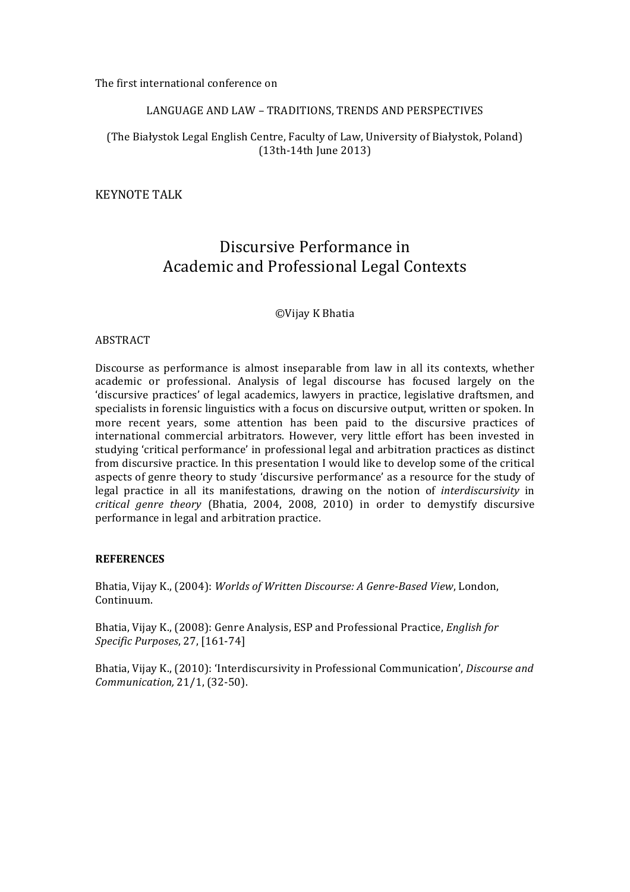The first international conference on

## LANGUAGE AND LAW - TRADITIONS, TRENDS AND PERSPECTIVES

## (The Białystok Legal English Centre, Faculty of Law, University of Białystok, Poland) (13th-14th June 2013)

**KEYNOTE TALK** 

# Discursive Performance in Academic and Professional Legal Contexts

©Vijay K Bhatia

### **ABSTRACT**

Discourse as performance is almost inseparable from law in all its contexts, whether academic or professional. Analysis of legal discourse has focused largely on the 'discursive practices' of legal academics, lawyers in practice, legislative draftsmen, and specialists in forensic linguistics with a focus on discursive output, written or spoken. In more recent years, some attention has been paid to the discursive practices of international commercial arbitrators. However, very little effort has been invested in studying 'critical performance' in professional legal and arbitration practices as distinct from discursive practice. In this presentation I would like to develop some of the critical aspects of genre theory to study 'discursive performance' as a resource for the study of legal practice in all its manifestations, drawing on the notion of *interdiscursivity* in *critical genre theory* (Bhatia, 2004, 2008, 2010) in order to demystify discursive performance in legal and arbitration practice.

#### **REFERENCES**

Bhatia, Vijay K., (2004): *Worlds of Written Discourse: A Genre-Based View*, London, Continuum.

Bhatia, Vijay K., (2008): Genre Analysis, ESP and Professional Practice, *English for Specific Purposes*, 27, [161-74] 

Bhatia, Vijay K., (2010): 'Interdiscursivity in Professional Communication', *Discourse and Communication,* 21/1, (32-50).